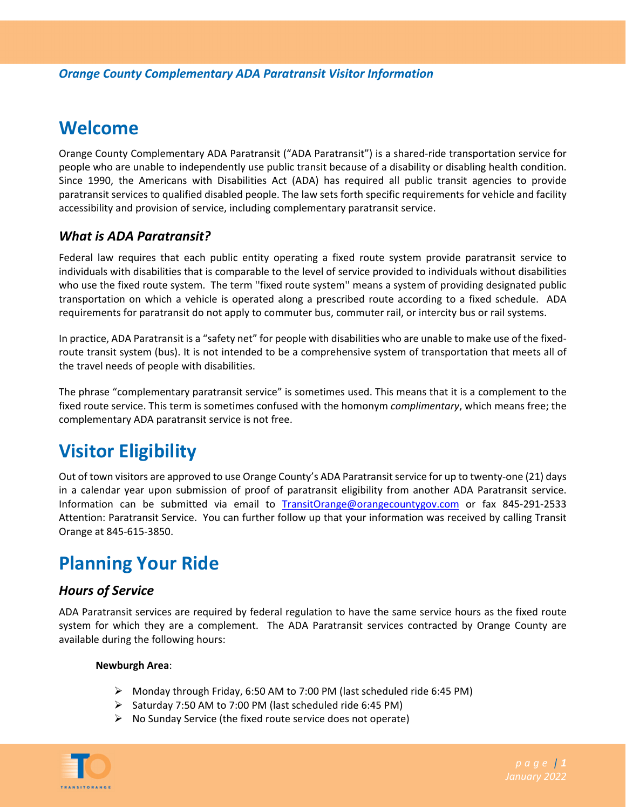## **Welcome**

Orange County Complementary ADA Paratransit ("ADA Paratransit") is a shared‐ride transportation service for people who are unable to independently use public transit because of a disability or disabling health condition. Since 1990, the Americans with Disabilities Act (ADA) has required all public transit agencies to provide paratransit services to qualified disabled people. The law sets forth specific requirements for vehicle and facility accessibility and provision of service, including complementary paratransit service.

## *What is ADA Paratransit?*

Federal law requires that each public entity operating a fixed route system provide paratransit service to individuals with disabilities that is comparable to the level of service provided to individuals without disabilities who use the fixed route system. The term ''fixed route system'' means a system of providing designated public transportation on which a vehicle is operated along a prescribed route according to a fixed schedule. ADA requirements for paratransit do not apply to commuter bus, commuter rail, or intercity bus or rail systems.

In practice, ADA Paratransit is a "safety net" for people with disabilities who are unable to make use of the fixed‐ route transit system (bus). It is not intended to be a comprehensive system of transportation that meets all of the travel needs of people with disabilities.

The phrase "complementary paratransit service" is sometimes used. This means that it is a complement to the fixed route service. This term is sometimes confused with the homonym *complimentary*, which means free; the complementary ADA paratransit service is not free.

# **Visitor Eligibility**

Out of town visitors are approved to use Orange County's ADA Paratransit service for up to twenty-one (21) days in a calendar year upon submission of proof of paratransit eligibility from another ADA Paratransit service. Information can be submitted via email to TransitOrange@orangecountygov.com or fax 845‐291‐2533 Attention: Paratransit Service. You can further follow up that your information was received by calling Transit Orange at 845‐615‐3850.

# **Planning Your Ride**

## *Hours of Service*

ADA Paratransit services are required by federal regulation to have the same service hours as the fixed route system for which they are a complement. The ADA Paratransit services contracted by Orange County are available during the following hours:

#### **Newburgh Area**:

- Monday through Friday, 6:50 AM to 7:00 PM (last scheduled ride 6:45 PM)
- $\triangleright$  Saturday 7:50 AM to 7:00 PM (last scheduled ride 6:45 PM)
- $\triangleright$  No Sunday Service (the fixed route service does not operate)